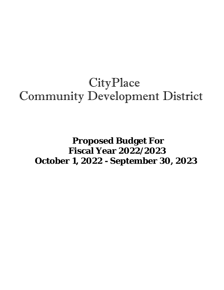# **CityPlace** Community Development District

# **Proposed Budget For Fiscal Year 2022/2023 October 1, 2022 - September 30, 2023**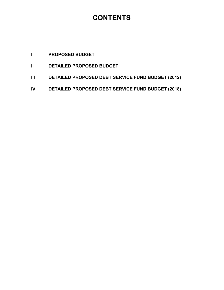# **CONTENTS**

## **I PROPOSED BUDGET**

- **II DETAILED PROPOSED BUDGET**
- **III DETAILED PROPOSED DEBT SERVICE FUND BUDGET (2012)**
- **IV DETAILED PROPOSED DEBT SERVICE FUND BUDGET (2018)**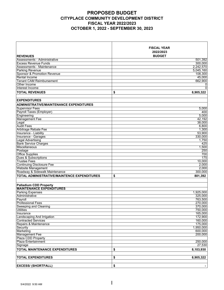### **PROPOSED BUDGET CITYPLACE COMMUNITY DEVELOPMENT DISTRICT FISCAL YEAR 2022/2023 OCTOBER 1, 2022 - SEPTEMBER 30, 2023**

|                                                | <b>FISCAL YEAR</b><br>2022/2023 |           |
|------------------------------------------------|---------------------------------|-----------|
| <b>REVENUES</b>                                | <b>BUDGET</b>                   |           |
| Assessments - Administrative                   |                                 | 501,392   |
| <b>Excess Revenue Funds</b>                    |                                 | 300,000   |
| Assessments - Maintenance                      |                                 | 2.242.570 |
| <b>Parking Revenue</b>                         |                                 | 5,045,160 |
| <b>Sponsor &amp; Promotion Revenue</b>         |                                 | 108,300   |
| Rental Income                                  |                                 | 45,000    |
| <b>Tenant CAM Reimbursement</b>                |                                 | 662,900   |
| Other Income                                   |                                 | 0         |
| Interest Income                                |                                 | 0         |
| <b>TOTAL REVENUES</b>                          | \$                              | 8,905,322 |
|                                                |                                 |           |
| <b>EXPENDITURES</b>                            |                                 |           |
|                                                |                                 |           |
| <b>ADMINISTRATIVE/MAINTENANCE EXPENDITURES</b> |                                 |           |
| <b>Supervisor Fees</b>                         |                                 | 5,000     |
| Payroll Taxes (Employer)                       |                                 | 400       |
| Engineering                                    |                                 | 5,000     |
| <b>Management Fee</b>                          |                                 | 42,192    |
| Legal                                          |                                 | 38,000    |
| <b>Audit Fees</b>                              |                                 | 6,800     |
| Arbitrage Rebate Fee                           |                                 | 1,300     |
| Insurance - Liability                          |                                 | 53,900    |
| Insurance - Garages                            |                                 | 330.000   |
| <b>Legal Advertising</b>                       |                                 | 1,750     |
| <b>Bank Service Charges</b>                    |                                 | 425       |
| <b>Miscellaneous</b>                           |                                 | 1,500     |
| Postage                                        |                                 | 250       |
| <b>Office Supplies</b>                         |                                 | 700       |
| Dues & Subscriptions                           |                                 | 175       |
| <b>Trustee Fees</b>                            |                                 | 10,000    |
| <b>Continuing Disclosure Fee</b>               |                                 | 2,000     |
| <b>Website Management</b>                      |                                 | 2,000     |
| Roadway & Sidewalk Maintenance                 |                                 | 300.000   |
| TOTAL ADMINISTRATIVE/MAINTENCE EXPENDITURES    | \$                              | 801,392   |
|                                                |                                 |           |
|                                                |                                 |           |
| <b>Palladium CDD Property</b>                  |                                 |           |
| <b>MAINTENANCE EXPENDITURES</b>                |                                 |           |
| <b>Parking Expenses</b>                        |                                 | 1,925,000 |
| Administrative                                 |                                 | 325,000   |
| Payroll                                        |                                 | 763,500   |
| <b>Professional Fees</b>                       |                                 | 270,000   |
| Sweeping and Cleaning                          |                                 | 370,000   |
| <b>Utilities</b>                               |                                 | 750,000   |
| Insurance                                      |                                 | 165,000   |
| <b>Landscaping And Irrigation</b>              |                                 | 172,900   |
| <b>Contracted Services</b>                     |                                 | 160,000   |
| Repairs & Maintenance                          |                                 | 175,000   |
| Security                                       |                                 | 1,950,000 |
| Marketing                                      |                                 | 600,000   |
| <b>Management Fee</b>                          |                                 | 200,000   |
| Plaza CDD Property                             |                                 |           |
| <b>Plaza Entertainment</b>                     |                                 | 250,000   |
| Signage                                        |                                 | 27,530    |
| <b>TOTAL MAINTENANCE EXPENDITURES</b>          | \$                              | 8,103,930 |
|                                                |                                 |           |
|                                                |                                 |           |
| <b>TOTAL EXPENDITURES</b>                      | \$                              | 8,905,322 |
|                                                |                                 |           |
| <b>EXCESS/ (SHORTFALL)</b>                     | \$                              |           |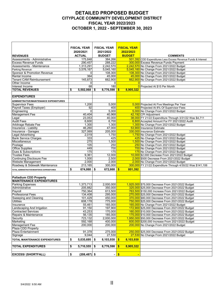### **DETAILED PROPOSED BUDGET CITYPLACE COMMUNITY DEVELOPMENT DISTRICT FISCAL YEAR 2022/2023 OCTOBER 1, 2022 - SEPTEMBER 30, 2023**

|                                                          | <b>FISCAL YEAR</b>    | <b>FISCAL YEAR</b> | <b>FISCAL YEAR</b>        |                                                                                                    |
|----------------------------------------------------------|-----------------------|--------------------|---------------------------|----------------------------------------------------------------------------------------------------|
|                                                          | 2020/2021             | 2021/2022          | 2022/2023                 |                                                                                                    |
| <b>REVENUES</b>                                          | <b>ACTUAL</b>         | <b>BUDGET</b>      | <b>BUDGET</b>             | <b>COMMENTS</b>                                                                                    |
| Assessments - Administrative                             | 175,848               | 384,266            |                           | 501,392 CDD Expenditures Less Excess Revenue Funds & Interest                                      |
| <b>Excess Revenue Funds</b>                              | 290,457               | 288,222            |                           | 300,000 Excess Revenue Funds Payment                                                               |
| Assessments - Maintenance                                | 1,313,291             | 2,242,570          |                           | 2,242,570 No Change From 2021/2022 Budget                                                          |
| Parking Revenue                                          | 3,576,167             | 5,045,160          |                           | 5,045,160 No Change From 2021/2022 Budget                                                          |
| Sponsor & Promotion Revenue                              |                       | 108,300<br>0       |                           | 108,300 No Change From 2021/2022 Budget                                                            |
| Rental Income                                            | 364                   | 45,000             |                           | 45,000 No Change From 2021/2022 Budget                                                             |
| <b>Tenant CAM Reimbursement</b>                          | 145,873               | 662,900            |                           | 662,900 No Change From 2021/2022 Budget                                                            |
| Other Income                                             |                       | 0<br>0             |                           |                                                                                                    |
| Interest Income                                          | 68                    | 180                |                           | O Projected At \$15 Per Month                                                                      |
| <b>TOTAL REVENUES</b>                                    | 5,502,068<br>\$       | 8,776,598<br>\$    | 8,905,322<br><b>S</b>     |                                                                                                    |
|                                                          |                       |                    |                           |                                                                                                    |
| <b>EXPENDITURES</b>                                      |                       |                    |                           |                                                                                                    |
| ADMINISTRATIVE/MAINTENANCE EXPENDITURES                  |                       |                    |                           |                                                                                                    |
| <b>Supervisor Fees</b>                                   | 1,200                 | 5,000              |                           | 5,000 Projected At Five Meetings Per Year                                                          |
| Payroll Taxes (Employer)                                 | 92                    | 400                |                           | 400 Projected At 8% Of Supervisor Fees                                                             |
| Engineering                                              |                       | 5,000<br>0         |                           | 5,000 No Change From 2021/2022 Budget                                                              |
| <b>Management Fee</b>                                    | 40.404                | 40.968             |                           | 42,192 CPI Adjustment                                                                              |
| Legal                                                    | 23,053                | 40,000             |                           | 38,000 FY 21/22 Expenditure Through 3/31/22 Was \$4,711                                            |
| <b>Audit Fees</b>                                        | 6,600                 | 6,700              |                           | 6,800 Accepted Amount For FY 2021/2022 Audit                                                       |
| Arbitrage Rebate Fee                                     | 1,300                 | 1,300              |                           | 1,300 No Change From 2021/2022 Budget                                                              |
| Insurance - Liability                                    | 46,260                | 47,000             |                           | 53,900 Insurance Estimate                                                                          |
| Insurance - Garages                                      | 327,069               | 205,000            |                           | 330,000 Insurance Estimate                                                                         |
| <b>Legal Advertising</b>                                 | 2,019                 | 1,750              |                           | 1,750 No Change From 2021/2022 Budget                                                              |
| <b>Bank Service Charges</b>                              | 333                   | 425                |                           | 425 No Change From 2021/2022 Budget                                                                |
| Miscellaneous                                            | 275                   | 1,500              |                           | 1,500 No Change From 2021/2022 Budget                                                              |
| Postage                                                  | 105                   | 250                |                           | 250 No Change From 2021/2022 Budget                                                                |
| <b>Office Supplies</b>                                   | 449                   | 700                |                           | 700 No Change From 2021/2022 Budget                                                                |
| Dues & Subscriptions                                     | 175                   | 175                |                           | 175 No Change From 2021/2022 Budget                                                                |
| <b>Trustee Fees</b>                                      | 9,361                 | 12,000             |                           | 10,000 \$2,000 Decrease From 2021/2022 Budget                                                      |
| <b>Continuing Disclosure Fee</b>                         | 1.000                 | 2,500              |                           | 2,000 \$500 Decrease From 2021/2022 Budget                                                         |
| Website Management                                       | 2,000                 | 2,000              |                           | 2,000 No Change From 2021/2022 Budget                                                              |
| Roadway & Sidewalk Maintenance                           | 213,165               | 300,000            |                           | 300,000 FY 21/22 Expenditure Through 4/30/22 Was \$141,106                                         |
| TOTAL ADMINISTRATIVE/MAINTENCE EXPENDITURES              | \$<br>674,860         | \$<br>672,668      | $\mathbf{s}$<br>801,392   |                                                                                                    |
|                                                          |                       |                    |                           |                                                                                                    |
|                                                          |                       |                    |                           |                                                                                                    |
| Palladium CDD Property                                   |                       |                    |                           |                                                                                                    |
| <b>MAINTENANCE EXPENDITURES</b>                          |                       |                    |                           |                                                                                                    |
| <b>Parking Expenses</b>                                  | 1,373,713             | 2,000,000          |                           | 1,925,000 \$75,000 Decrease From 2021/2022 Budget                                                  |
| Administrative                                           | 205,882               | 350,000            |                           | 325,000 \$25,000 Decrease From 2021/2022 Budget                                                    |
| Payroll                                                  | 750,364               | 613,500            |                           | 763,500 \$150,000 Increase From 2021/2022 Budget                                                   |
| <b>Professional Fees</b>                                 | 134,408               | 295,000            |                           | 270.000 \$25.000 Decrease From 2021/2022 Budget                                                    |
| Sweeping and Cleaning                                    | 101,429               | 450,000            |                           | 370,000 \$80,000 Decrease From 2021/2022 Budget                                                    |
| <b>Utilities</b>                                         | 608,178               | 775,000            |                           | 750,000 \$25,000 Decrease From 2021/2022 Budget                                                    |
| Insurance                                                | 55,461                | 165,000            |                           | 165,000 No Change From 2021/2022 Budget                                                            |
| Landscaping And Irrigation<br><b>Contracted Services</b> | 91,150                | 197,900<br>170,000 |                           | 172,900 \$25,000 Decrease From 2021/2022 Budget<br>160,000 \$10,000 Decrease From 2021/2022 Budget |
| Repairs & Maintenance                                    | 43,253                | 185,000            |                           |                                                                                                    |
|                                                          | 56,135                | 2,000,000          |                           | 175,000 \$10,000 Decrease From 2021/2022 Budget                                                    |
| Security<br>Marketing                                    | 723,132               |                    |                           | 1,950,000 \$50,000 Decrease From 2021/2022 Budget                                                  |
| Management Fee                                           | 592,168<br>200,000    | 400,000<br>200,000 |                           | 600,000 \$200,000 Increase From 2021/2022 Budget<br>200,000 No Change From 2021/2022 Budget        |
| Plaza CDD Property                                       |                       |                    |                           |                                                                                                    |
| Plaza Entertainment                                      | 91,378                | 275,000            |                           | 250,000 \$25,000 Decrease From 2021/2022 Budget                                                    |
|                                                          | 9,044                 | 27,530             |                           | 27,530 No Change From 2021/2022 Budget                                                             |
| Signage                                                  |                       |                    |                           |                                                                                                    |
| TOTAL MAINTENANCE EXPENDITURES                           | \$<br>5,035,695       | 8,103,930<br>\$    | 8,103,930<br>$\mathbf{s}$ |                                                                                                    |
|                                                          |                       |                    |                           |                                                                                                    |
| <b>TOTAL EXPENDITURES</b>                                | \$<br>5,710,555       | 8,776,598<br>\$    | 8,905,322<br>S.           |                                                                                                    |
|                                                          |                       |                    |                           |                                                                                                    |
| <b>EXCESS/ (SHORTFALL)</b>                               | \$<br>$(208, 487)$ \$ | $\blacksquare$     | $\sqrt[6]{\frac{1}{2}}$   |                                                                                                    |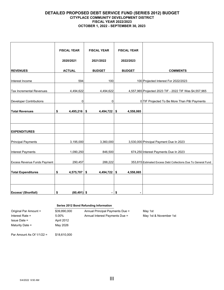#### **DETAILED PROPOSED DEBT SERVICE FUND (SERIES 2012) BUDGET CITYPLACE COMMUNITY DEVELOPMENT DISTRICT FISCAL YEAR 2022/2023 OCTOBER 1, 2022 - SEPTEMBER 30, 2023**

|                                     | <b>FISCAL YEAR</b>   | <b>FISCAL YEAR</b> | <b>FISCAL YEAR</b> |                                                               |
|-------------------------------------|----------------------|--------------------|--------------------|---------------------------------------------------------------|
|                                     | 2020/2021            | 2021/2022          | 2022/2023          |                                                               |
| <b>REVENUES</b>                     | <b>ACTUAL</b>        | <b>BUDGET</b>      | <b>BUDGET</b>      | <b>COMMENTS</b>                                               |
| Interest Income                     | 594                  | 100                |                    | 100 Projected Interest For 2022/2023                          |
| <b>Tax Incremental Revenues</b>     | 4,494,622            | 4,494,622          |                    | 4,557,965 Projected 2023 TIF - 2022 TIF Was \$4,557,965       |
| <b>Developer Contributions</b>      | 0                    | 0                  |                    | 0 TIF Projected To Be More Than P&I Payments                  |
| <b>Total Revenues</b>               | \$<br>$4,495,216$ \$ | 4,494,722          | 4,558,065<br>\$    |                                                               |
|                                     |                      |                    |                    |                                                               |
| <b>EXPENDITURES</b>                 |                      |                    |                    |                                                               |
| Principal Payments                  | 3,195,000            | 3,360,000          |                    | 3,530,000 Principal Payment Due In 2023                       |
| <b>Interest Payments</b>            | 1,090,250            | 846,500            |                    | 674,250 Interest Payments Due In 2023                         |
| <b>Excess Revenue Funds Payment</b> | 290,457              | 288,222            |                    | 353,815 Estimated Excess Debt Collections Due To General Fund |
| <b>Total Expenditures</b>           | \$<br>$4,575,707$ \$ | $4,494,722$ \$     | 4,558,065          |                                                               |
|                                     |                      |                    |                    |                                                               |
| <b>Excess/ (Shortfall)</b>          | \$<br>$(80, 491)$ \$ | ٠                  | \$                 |                                                               |

#### **Series 2012 Bond Refunding Information**

Original Par Amount = \$39,890,000 Annual Principal Payments Due = May 1st Issue Date = April 2012 Maturity Date = May 2026

Interest Rate = 5.00% Annual Interest Payments Due = May 1st & November 1st

Par Amount As Of 1/1/22 = \$18,610,000

5/4/2022 9:50 AM **III**